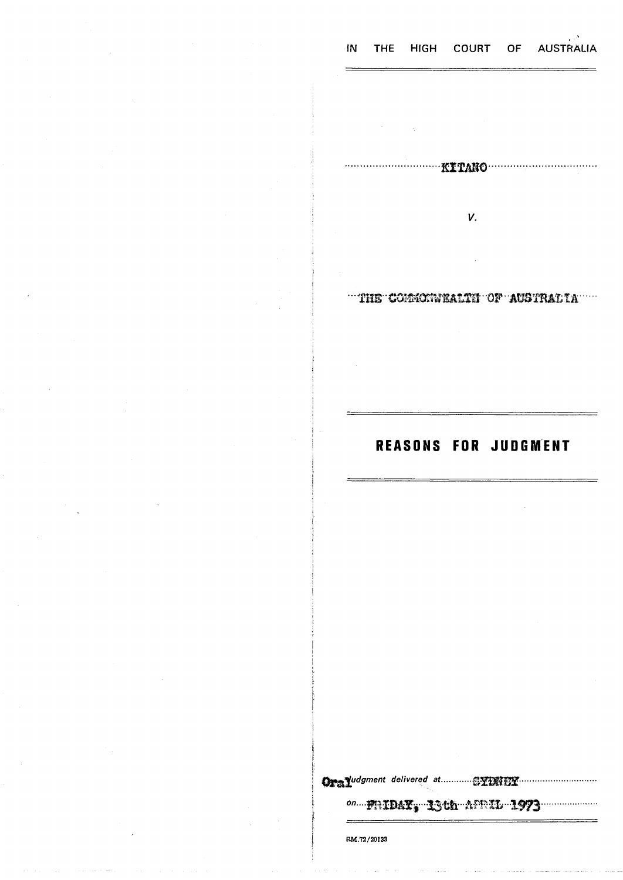#### THE HIGH COURT OF AUSTRALIA IN

V.

"THE COMMONWEALTH OF AUSTRALIA"

## **REASONS FOR JUDGMENT**

on.... FRIDAY, ISth AFRIL 1973

 $RM.72/20133$ 

 $=$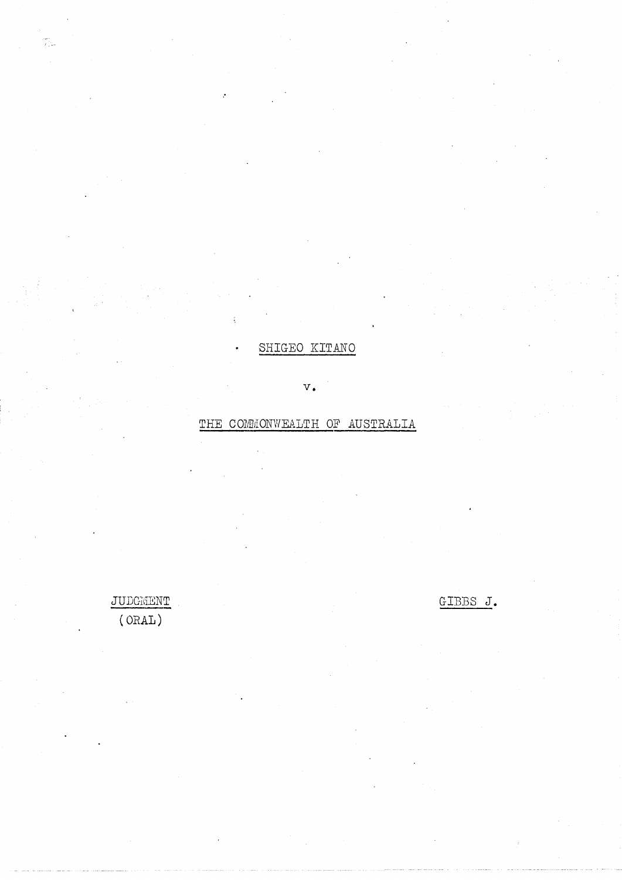# **SHIGEO KITANO**

v.

## THE COMMONWEALTH OF AUSTRALIA

JUDGMENT GIBBS J. (ORAL)

anns<br>Beatan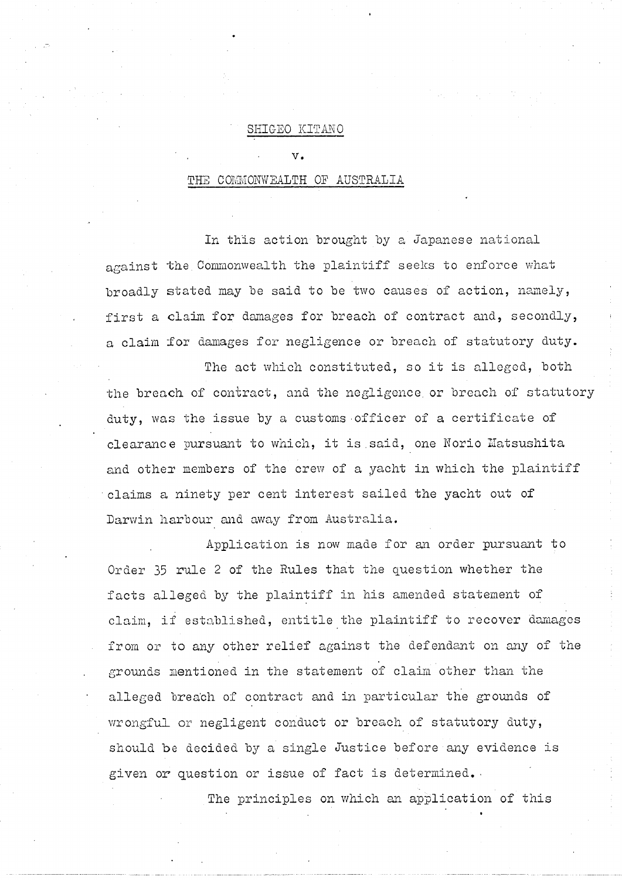### **SHIGEO KITANO**

 $\mathbf{v}$ .

## THE COMMONWEALTH OF AUSTRALIA

In this action- brought by a Japanese national against the Commonwealth the plaintiff seeks to enforce what broadly stated may be said to be two causes of action, namely, first a claim for damages for breach of contract and, secondly, a claim for damages for negligence or breach of statutory duty.

The act which constituted, so it is alleged, both the breach of contract, and the negligence, or breach of statutory duty, was the issue by a customs-officer of a certificate of clearance pursuant to which, it is.said, one Norio Matsushita and other members of the crew of a yacht in which the plaintiff claims a ninety per cent interest sailed the yacht out of Darwin harbour and away from Australia.

Application is now made for an order pursuant to Order 35 rule 2 of the Rules that the question whether the facts alleged by the plaintiff in his amended statement of claim, if established, entitle the plaintiff to recover damages from or to any other relief against the defendant on any of the grounds mentioned in the statement of claim other than the alleged breach of contract and in particular the grounds of wrongful or negligent conduct or breach of statutory duty, should be decided by a single Justice before any evidence is given or question or issue of fact is determined.

The principles on which an application of this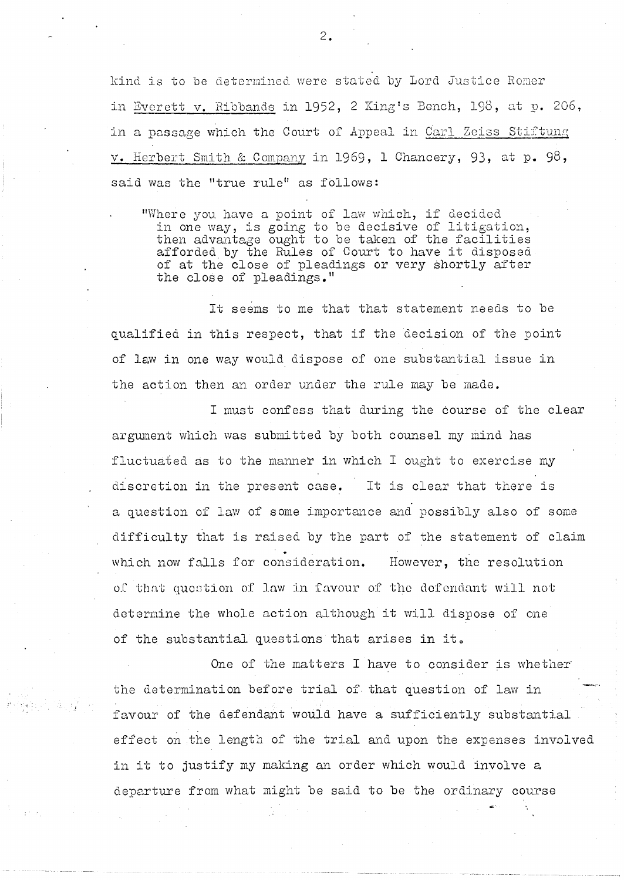kind is to be determined were stated by Lord Justice Romer in Bverett v. Ribbands in 1952, 2 King's Bench, 198, at p. 206, in a passage which the Court of Appeal in Carl Zeiss Stiftung v. Herbert Smith & Company in 1969, 1 Chancery, 93, at p. 98, said was the "true rule" as follows:

"Where you have a point of law which, if decided in one way, is going to be decisive of litigation, then advantage ought to be taken of the facilities afforded by the Rules of Court to have it disposed of at the close of pleadings or very shortly after the close of pleadings."

It seems to me that that statement needs to be qualified in this respect, that if the decision of the point of law in one way would dispose of one substantial issue in the action then an order under the rule may be made.

I must confess that during the course of the clear argument which was submitted by both counsel my mind has fluctuated as to the manner in which I ought to exercise my discretion in the present case. It is clear that there is a question of law of some importance and possibly also of some difficulty that is raised by the part of the statement of claim which now falls for consideration. However, the resolution of that question of law in favour of the defendant will not determine the whole action although it will dispose of one of the substantial questions that arises in it.

One of the matters I have to consider is whether the determination before trial of- that question of law in favour of the defendant would have a sufficiently substantial effect on the length of the trial and upon the expenses involved in it to justify my making an order which would involve a departure from what might be said to be the ordinary course

 $2.$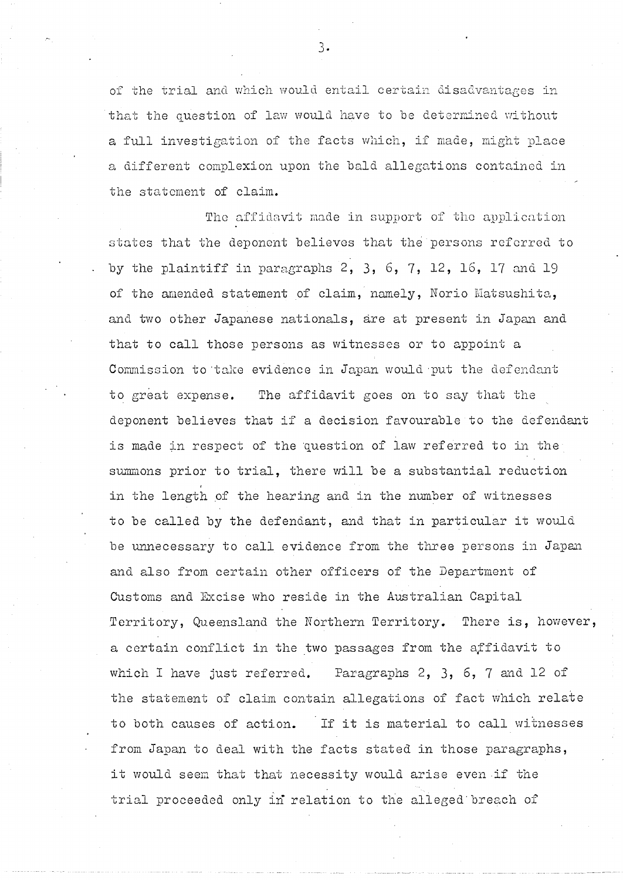of the trial and which would entail certain disadvantages in that the question of law would have to be determined without a full investigation of the facts which, if made, might place a different complexion upon the bald allegations contained in the statement of claim.

The affidavit made in support of the application states that the deponent believes that the persons referred to by the plaintiff in paragraphs  $2, 3, 6, 7, 12, 16, 17$  and 19 of the amended statement of claim, namely, Norio Matsushita, and two other Japanese nationals, are at present in Japan and that to call those persons as witnesses or to appoint a Commission to 'take evidence in Japan would put the defendant to great expense. The affidavit goes on to say that the deponent believes that if a decision favourable to the defendant is made in respect of the question of law referred to in the summons prior to trial, there will be a substantial reduction in the length of the hearing and in the number of witnesses to be called by the defendant, and that in particular it would be unnecessary to call evidence from the three persons in Japan and also from certain other officers of the Department of Customs and Excise who reside in the Australian Capital Territory, Queensland the Northern Territory. There is, however, a certain conflict in the two passages from the affidavit to which I have just referred. Paragraphs 2, 3, 6, 7 and 12 of the statement of claim contain allegations of fact which relate to both causes of action. If it is material to call witnesses from Japan to deal with the facts stated in those paragraphs, it would seem that that necessity would arise even if the trial proceeded only in relation to the alleged'breach of

3.